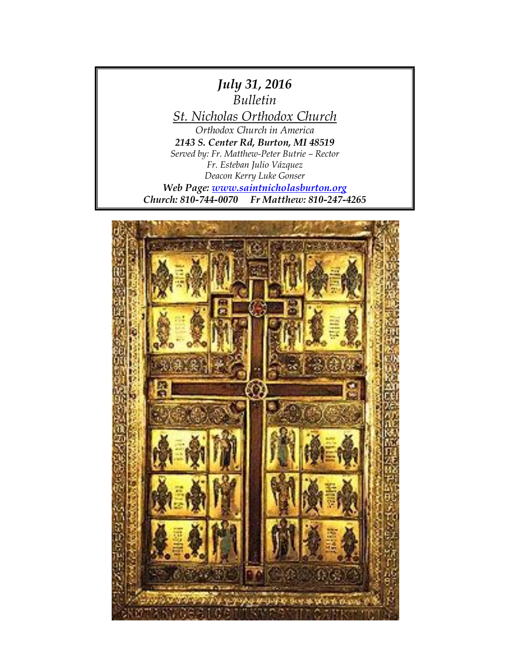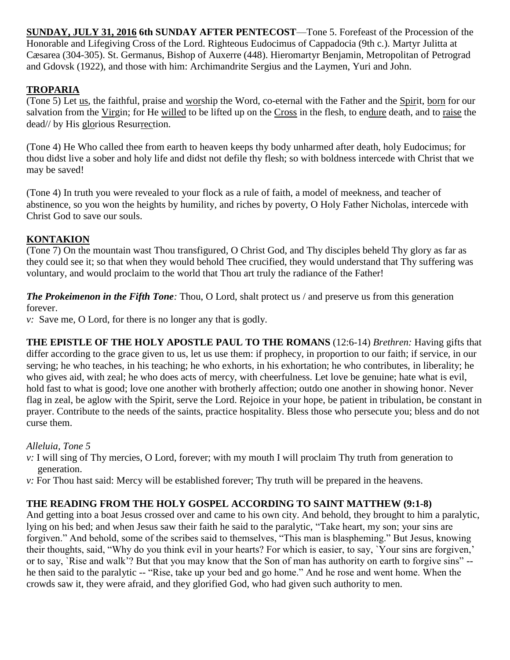**SUNDAY, JULY 31, 2016 6th SUNDAY AFTER PENTECOST**—Tone 5. Forefeast of the Procession of the Honorable and Lifegiving Cross of the Lord. Righteous Eudocimus of Cappadocia (9th c.). Martyr Julitta at Cæsarea (304-305). St. Germanus, Bishop of Auxerre (448). Hieromartyr Benjamin, Metropolitan of Petrograd and Gdovsk (1922), and those with him: Archimandrite Sergius and the Laymen, Yuri and John.

# **TROPARIA**

(Tone 5) Let us, the faithful, praise and worship the Word, co-eternal with the Father and the Spirit, born for our salvation from the Virgin; for He willed to be lifted up on the Cross in the flesh, to endure death, and to raise the dead// by His glorious Resurrection.

(Tone 4) He Who called thee from earth to heaven keeps thy body unharmed after death, holy Eudocimus; for thou didst live a sober and holy life and didst not defile thy flesh; so with boldness intercede with Christ that we may be saved!

(Tone 4) In truth you were revealed to your flock as a rule of faith, a model of meekness, and teacher of abstinence, so you won the heights by humility, and riches by poverty, O Holy Father Nicholas, intercede with Christ God to save our souls.

# **KONTAKION**

(Tone 7) On the mountain wast Thou transfigured, O Christ God, and Thy disciples beheld Thy glory as far as they could see it; so that when they would behold Thee crucified, they would understand that Thy suffering was voluntary, and would proclaim to the world that Thou art truly the radiance of the Father!

*The Prokeimenon in the Fifth Tone:* Thou, O Lord, shalt protect us / and preserve us from this generation forever.

*v:* Save me, O Lord, for there is no longer any that is godly.

**THE EPISTLE OF THE HOLY APOSTLE PAUL TO THE ROMANS** (12:6-14) *Brethren:* Having gifts that differ according to the grace given to us, let us use them: if prophecy, in proportion to our faith; if service, in our serving; he who teaches, in his teaching; he who exhorts, in his exhortation; he who contributes, in liberality; he who gives aid, with zeal; he who does acts of mercy, with cheerfulness. Let love be genuine; hate what is evil, hold fast to what is good; love one another with brotherly affection; outdo one another in showing honor. Never flag in zeal, be aglow with the Spirit, serve the Lord. Rejoice in your hope, be patient in tribulation, be constant in prayer. Contribute to the needs of the saints, practice hospitality. Bless those who persecute you; bless and do not curse them.

## *Alleluia, Tone 5*

- *v*: I will sing of Thy mercies, O Lord, forever; with my mouth I will proclaim Thy truth from generation to generation.
- *v:* For Thou hast said: Mercy will be established forever; Thy truth will be prepared in the heavens.

## **THE READING FROM THE HOLY GOSPEL ACCORDING TO SAINT MATTHEW (9:1-8)**

And getting into a boat Jesus crossed over and came to his own city. And behold, they brought to him a paralytic, lying on his bed; and when Jesus saw their faith he said to the paralytic, "Take heart, my son; your sins are forgiven." And behold, some of the scribes said to themselves, "This man is blaspheming." But Jesus, knowing their thoughts, said, "Why do you think evil in your hearts? For which is easier, to say, `Your sins are forgiven,' or to say, `Rise and walk'? But that you may know that the Son of man has authority on earth to forgive sins" - he then said to the paralytic -- "Rise, take up your bed and go home." And he rose and went home. When the crowds saw it, they were afraid, and they glorified God, who had given such authority to men.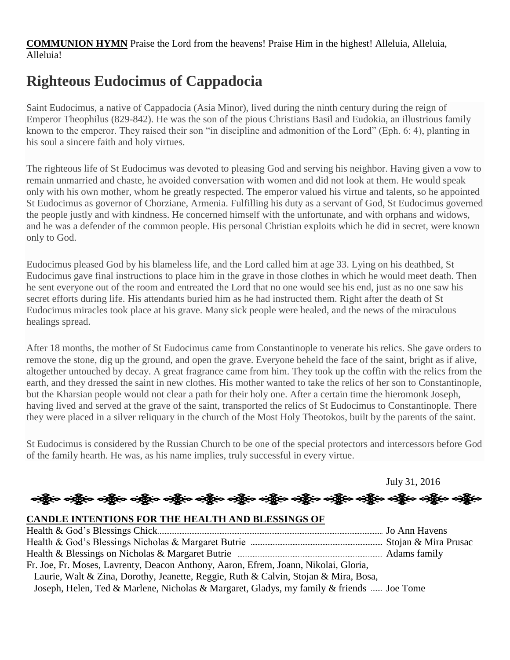**COMMUNION HYMN** Praise the Lord from the heavens! Praise Him in the highest! Alleluia, Alleluia, Alleluia!

# **Righteous Eudocimus of Cappadocia**

Saint Eudocimus, a native of Cappadocia (Asia Minor), lived during the ninth century during the reign of Emperor Theophilus (829-842). He was the son of the pious Christians Basil and Eudokia, an illustrious family known to the emperor. They raised their son "in discipline and admonition of the Lord" (Eph. 6: 4), planting in his soul a sincere faith and holy virtues.

The righteous life of St Eudocimus was devoted to pleasing God and serving his neighbor. Having given a vow to remain unmarried and chaste, he avoided conversation with women and did not look at them. He would speak only with his own mother, whom he greatly respected. The emperor valued his virtue and talents, so he appointed St Eudocimus as governor of Chorziane, Armenia. Fulfilling his duty as a servant of God, St Eudocimus governed the people justly and with kindness. He concerned himself with the unfortunate, and with orphans and widows, and he was a defender of the common people. His personal Christian exploits which he did in secret, were known only to God.

Eudocimus pleased God by his blameless life, and the Lord called him at age 33. Lying on his deathbed, St Eudocimus gave final instructions to place him in the grave in those clothes in which he would meet death. Then he sent everyone out of the room and entreated the Lord that no one would see his end, just as no one saw his secret efforts during life. His attendants buried him as he had instructed them. Right after the death of St Eudocimus miracles took place at his grave. Many sick people were healed, and the news of the miraculous healings spread.

After 18 months, the mother of St Eudocimus came from Constantinople to venerate his relics. She gave orders to remove the stone, dig up the ground, and open the grave. Everyone beheld the face of the saint, bright as if alive, altogether untouched by decay. A great fragrance came from him. They took up the coffin with the relics from the earth, and they dressed the saint in new clothes. His mother wanted to take the relics of her son to Constantinople, but the Kharsian people would not clear a path for their holy one. After a certain time the hieromonk Joseph, having lived and served at the grave of the saint, transported the relics of St Eudocimus to Constantinople. There they were placed in a silver reliquary in the church of the Most Holy Theotokos, built by the parents of the saint.

St Eudocimus is considered by the Russian Church to be one of the special protectors and intercessors before God of the family hearth. He was, as his name implies, truly successful in every virtue.

July 31, 2016

န္ကြိုးေခါ့္ကိုေခါ့္ကိုေခါ့္ကိုေခါ့္ကိုေခါ့္ကိုေခါ့္ကိုေခါ့္ကိုေခါ့္ကိုေခါ့္ကိုေခါ့္ကိုေခါ့္ကိုေခါ့္ကိုေ

#### **CANDLE INTENTIONS FOR THE HEALTH AND BLESSINGS OF**

| Fr. Joe, Fr. Moses, Lavrenty, Deacon Anthony, Aaron, Efrem, Joann, Nikolai, Gloria,      |  |
|------------------------------------------------------------------------------------------|--|
| Laurie, Walt & Zina, Dorothy, Jeanette, Reggie, Ruth & Calvin, Stojan & Mira, Bosa,      |  |
| Joseph, Helen, Ted & Marlene, Nicholas & Margaret, Gladys, my family & friends  Joe Tome |  |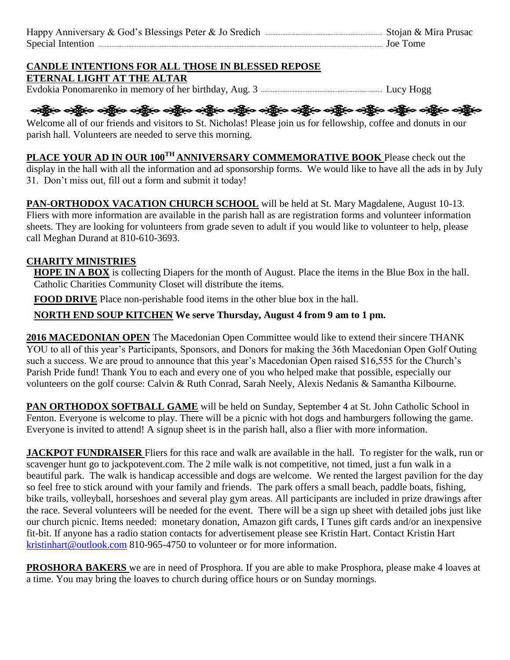| Joe Tome |
|----------|

# **CANDLE INTENTIONS FOR ALL THOSE IN BLESSED REPOSE**

**ETERNAL LIGHT AT THE ALTAR**

Evdokia Ponomarenko in memory of her birthday, Aug. 3 Lucy Hogg

ဆိုပြီးဝ ခရွိပ် ဝန်စွဲမ ခရွိပ် သို့ပြီး ခရွိပါ သို့ပြီး ခရွိပါ သို့ပြီး ခရွိပါ သို့ပြီး ခရွိပါ သို့ပြီး ခရွိပါ

Welcome all of our friends and visitors to St. Nicholas! Please join us for fellowship, coffee and donuts in our parish hall. Volunteers are needed to serve this morning.

**PLACE YOUR AD IN OUR 100TH ANNIVERSARY COMMEMORATIVE BOOK** Please check out the display in the hall with all the information and ad sponsorship forms. We would like to have all the ads in by July 31. Don't miss out, fill out a form and submit it today!

**PAN-ORTHODOX VACATION CHURCH SCHOOL** will be held at St. Mary Magdalene, August 10-13. Fliers with more information are available in the parish hall as are registration forms and volunteer information sheets. They are looking for volunteers from grade seven to adult if you would like to volunteer to help, please call Meghan Durand at 810-610-3693.

## **CHARITY MINISTRIES**

**HOPE IN A BOX** is collecting Diapers for the month of August. Place the items in the Blue Box in the hall. Catholic Charities Community Closet will distribute the items.

**FOOD DRIVE** Place non-perishable food items in the other blue box in the hall.

**NORTH END SOUP KITCHEN We serve Thursday, August 4 from 9 am to 1 pm.**

**2016 MACEDONIAN OPEN** The Macedonian Open Committee would like to extend their sincere THANK YOU to all of this year's Participants, Sponsors, and Donors for making the 36th Macedonian Open Golf Outing such a success. We are proud to announce that this year's Macedonian Open raised \$16,555 for the Church's Parish Pride fund! Thank You to each and every one of you who helped make that possible, especially our volunteers on the golf course: Calvin & Ruth Conrad, Sarah Neely, Alexis Nedanis & Samantha Kilbourne.

**PAN ORTHODOX SOFTBALL GAME** will be held on Sunday, September 4 at St. John Catholic School in Fenton. Everyone is welcome to play. There will be a picnic with hot dogs and hamburgers following the game. Everyone is invited to attend! A signup sheet is in the parish hall, also a flier with more information.

**JACKPOT FUNDRAISER** Fliers for this race and walk are available in the hall. To register for the walk, run or scavenger hunt go to jackpotevent.com. The 2 mile walk is not competitive, not timed, just a fun walk in a beautiful park. The walk is handicap accessible and dogs are welcome. We rented the largest pavilion for the day so feel free to stick around with your family and friends. The park offers a small beach, paddle boats, fishing, bike trails, volleyball, horseshoes and several play gym areas. All participants are included in prize drawings after the race. Several volunteers will be needed for the event. There will be a sign up sheet with detailed jobs just like our church picnic. Items needed: monetary donation, Amazon gift cards, I Tunes gift cards and/or an inexpensive fit-bit. If anyone has a radio station contacts for advertisement please see Kristin Hart. Contact Kristin Hart [kristinhart@outlook.com](mailto:kristinhart@outlook.com) 810-965-4750 to volunteer or for more information.

**PROSHORA BAKERS** we are in need of Prosphora. If you are able to make Prosphora, please make 4 loaves at a time. You may bring the loaves to church during office hours or on Sunday mornings.